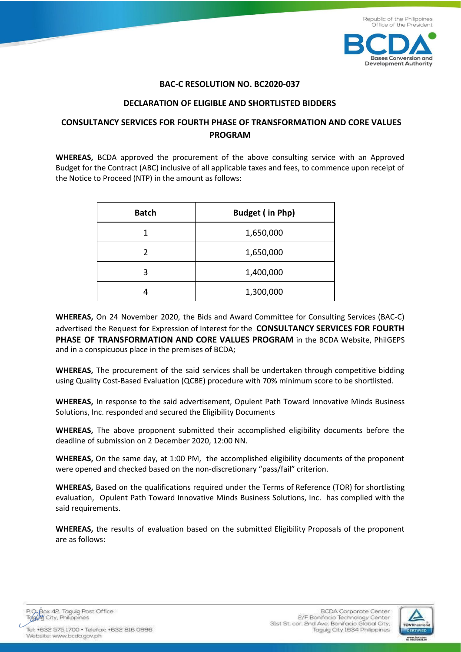

## **BAC-C RESOLUTION NO. BC2020-037**

## **DECLARATION OF ELIGIBLE AND SHORTLISTED BIDDERS**

## **CONSULTANCY SERVICES FOR FOURTH PHASE OF TRANSFORMATION AND CORE VALUES PROGRAM**

**WHEREAS,** BCDA approved the procurement of the above consulting service with an Approved Budget for the Contract (ABC) inclusive of all applicable taxes and fees, to commence upon receipt of the Notice to Proceed (NTP) in the amount as follows:

| <b>Batch</b> | <b>Budget (in Php)</b> |
|--------------|------------------------|
| 1            | 1,650,000              |
| 2            | 1,650,000              |
| 3            | 1,400,000              |
|              | 1,300,000              |

**WHEREAS,** On 24 November 2020, the Bids and Award Committee for Consulting Services (BAC-C) advertised the Request for Expression of Interest for the **CONSULTANCY SERVICES FOR FOURTH PHASE OF TRANSFORMATION AND CORE VALUES PROGRAM** in the BCDA Website, PhilGEPS and in a conspicuous place in the premises of BCDA;

**WHEREAS,** The procurement of the said services shall be undertaken through competitive bidding using Quality Cost-Based Evaluation (QCBE) procedure with 70% minimum score to be shortlisted.

**WHEREAS,** In response to the said advertisement, Opulent Path Toward Innovative Minds Business Solutions, Inc. responded and secured the Eligibility Documents

**WHEREAS,** The above proponent submitted their accomplished eligibility documents before the deadline of submission on 2 December 2020, 12:00 NN.

**WHEREAS,** On the same day, at 1:00 PM, the accomplished eligibility documents of the proponent were opened and checked based on the non-discretionary "pass/fail" criterion.

**WHEREAS,** Based on the qualifications required under the Terms of Reference (TOR) for shortlisting evaluation, Opulent Path Toward Innovative Minds Business Solutions, Inc. has complied with the said requirements.

**WHEREAS,** the results of evaluation based on the submitted Eligibility Proposals of the proponent are as follows:

P.O. Box 42. Taguig Post Office<br>Togylly City, Philippines

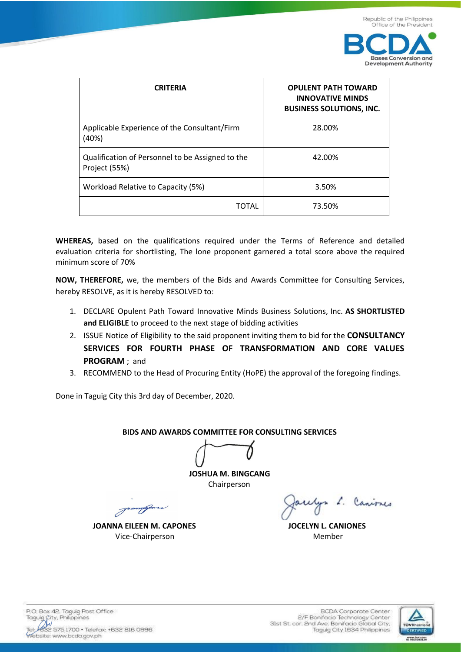

| <b>CRITERIA</b>                                                   | <b>OPULENT PATH TOWARD</b><br><b>INNOVATIVE MINDS</b><br><b>BUSINESS SOLUTIONS, INC.</b> |
|-------------------------------------------------------------------|------------------------------------------------------------------------------------------|
| Applicable Experience of the Consultant/Firm<br>(40%)             | 28.00%                                                                                   |
| Qualification of Personnel to be Assigned to the<br>Project (55%) | 42.00%                                                                                   |
| Workload Relative to Capacity (5%)                                | 3.50%                                                                                    |
| TOTAL                                                             | 73.50%                                                                                   |

**WHEREAS,** based on the qualifications required under the Terms of Reference and detailed evaluation criteria for shortlisting, The lone proponent garnered a total score above the required minimum score of 70%

**NOW, THEREFORE,** we, the members of the Bids and Awards Committee for Consulting Services, hereby RESOLVE, as it is hereby RESOLVED to:

- 1. DECLARE Opulent Path Toward Innovative Minds Business Solutions, Inc. **AS SHORTLISTED and ELIGIBLE** to proceed to the next stage of bidding activities
- 2. ISSUE Notice of Eligibility to the said proponent inviting them to bid for the **CONSULTANCY SERVICES FOR FOURTH PHASE OF TRANSFORMATION AND CORE VALUES PROGRAM** ; and
- 3. RECOMMEND to the Head of Procuring Entity (HoPE) the approval of the foregoing findings.

Done in Taguig City this 3rd day of December, 2020.

## **BIDS AND AWARDS COMMITTEE FOR CONSULTING SERVICES**

**JOSHUA M. BINGCANG**  Chairperson

Joannapores

**JOANNA EILEEN M. CAPONES JOCELYN L. CANIONES Vice-Chairperson** Member

acelys L. Canisses